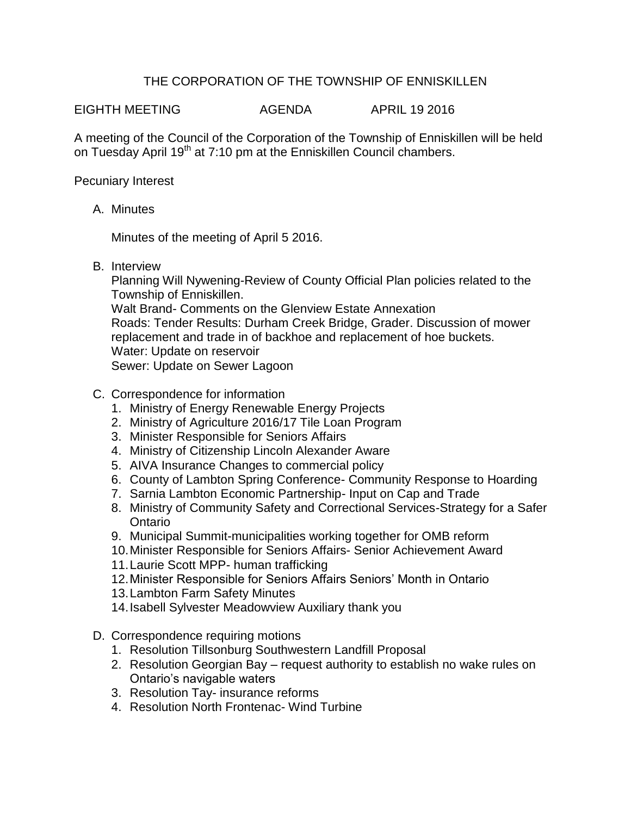## THE CORPORATION OF THE TOWNSHIP OF ENNISKILLEN

EIGHTH MEETING AGENDA APRIL 19 2016

A meeting of the Council of the Corporation of the Township of Enniskillen will be held on Tuesday April 19<sup>th</sup> at 7:10 pm at the Enniskillen Council chambers.

Pecuniary Interest

A. Minutes

Minutes of the meeting of April 5 2016.

B. Interview

Planning Will Nywening-Review of County Official Plan policies related to the Township of Enniskillen. Walt Brand- Comments on the Glenview Estate Annexation Roads: Tender Results: Durham Creek Bridge, Grader. Discussion of mower replacement and trade in of backhoe and replacement of hoe buckets. Water: Update on reservoir Sewer: Update on Sewer Lagoon

- C. Correspondence for information
	- 1. Ministry of Energy Renewable Energy Projects
	- 2. Ministry of Agriculture 2016/17 Tile Loan Program
	- 3. Minister Responsible for Seniors Affairs
	- 4. Ministry of Citizenship Lincoln Alexander Aware
	- 5. AIVA Insurance Changes to commercial policy
	- 6. County of Lambton Spring Conference- Community Response to Hoarding
	- 7. Sarnia Lambton Economic Partnership- Input on Cap and Trade
	- 8. Ministry of Community Safety and Correctional Services-Strategy for a Safer Ontario
	- 9. Municipal Summit-municipalities working together for OMB reform
	- 10.Minister Responsible for Seniors Affairs- Senior Achievement Award
	- 11.Laurie Scott MPP- human trafficking
	- 12.Minister Responsible for Seniors Affairs Seniors' Month in Ontario
	- 13.Lambton Farm Safety Minutes
	- 14.Isabell Sylvester Meadowview Auxiliary thank you
- D. Correspondence requiring motions
	- 1. Resolution Tillsonburg Southwestern Landfill Proposal
	- 2. Resolution Georgian Bay request authority to establish no wake rules on Ontario's navigable waters
	- 3. Resolution Tay- insurance reforms
	- 4. Resolution North Frontenac- Wind Turbine